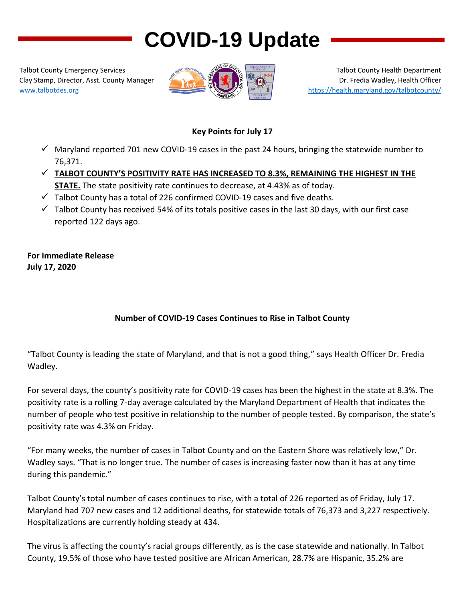# **COVID-19 Update**

Talbot County Emergency Services Clay Stamp, Director, Asst. County Manager [www.talbotdes.org](http://www.talbotdes.org/)



Talbot County Health Department Dr. Fredia Wadley, Health Officer <https://health.maryland.gov/talbotcounty/>

#### **Key Points for July 17**

- $\checkmark$  Maryland reported 701 new COVID-19 cases in the past 24 hours, bringing the statewide number to 76,371.
- **TALBOT COUNTY'S POSITIVITY RATE HAS INCREASED TO 8.3%, REMAINING THE HIGHEST IN THE STATE.** The state positivity rate continues to decrease, at 4.43% as of today.
- $\checkmark$  Talbot County has a total of 226 confirmed COVID-19 cases and five deaths.
- $\checkmark$  Talbot County has received 54% of its totals positive cases in the last 30 days, with our first case reported 122 days ago.

**For Immediate Release July 17, 2020**

## **Number of COVID-19 Cases Continues to Rise in Talbot County**

"Talbot County is leading the state of Maryland, and that is not a good thing," says Health Officer Dr. Fredia Wadley.

For several days, the county's positivity rate for COVID-19 cases has been the highest in the state at 8.3%. The positivity rate is a rolling 7-day average calculated by the Maryland Department of Health that indicates the number of people who test positive in relationship to the number of people tested. By comparison, the state's positivity rate was 4.3% on Friday.

"For many weeks, the number of cases in Talbot County and on the Eastern Shore was relatively low," Dr. Wadley says. "That is no longer true. The number of cases is increasing faster now than it has at any time during this pandemic."

Talbot County's total number of cases continues to rise, with a total of 226 reported as of Friday, July 17. Maryland had 707 new cases and 12 additional deaths, for statewide totals of 76,373 and 3,227 respectively. Hospitalizations are currently holding steady at 434.

The virus is affecting the county's racial groups differently, as is the case statewide and nationally. In Talbot County, 19.5% of those who have tested positive are African American, 28.7% are Hispanic, 35.2% are